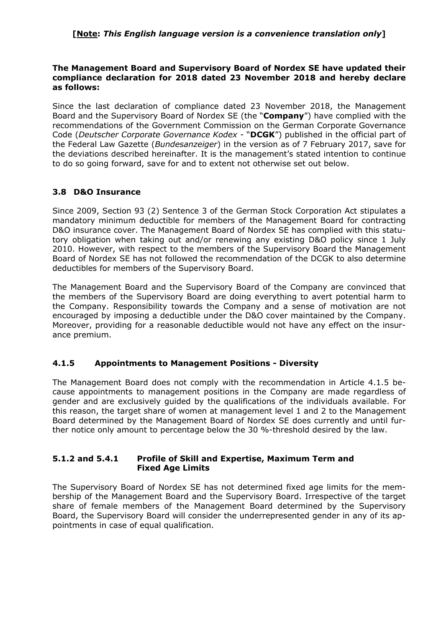## **[Note:** *This English language version is a convenience translation only***]**

### **The Management Board and Supervisory Board of Nordex SE have updated their compliance declaration for 2018 dated 23 November 2018 and hereby declare as follows:**

Since the last declaration of compliance dated 23 November 2018, the Management Board and the Supervisory Board of Nordex SE (the "**Company**") have complied with the recommendations of the Government Commission on the German Corporate Governance Code (*Deutscher Corporate Governance Kodex* - "**DCGK**") published in the official part of the Federal Law Gazette (*Bundesanzeiger*) in the version as of 7 February 2017, save for the deviations described hereinafter. It is the management's stated intention to continue to do so going forward, save for and to extent not otherwise set out below.

# **3.8 D&O Insurance**

Since 2009, Section 93 (2) Sentence 3 of the German Stock Corporation Act stipulates a mandatory minimum deductible for members of the Management Board for contracting D&O insurance cover. The Management Board of Nordex SE has complied with this statutory obligation when taking out and/or renewing any existing D&O policy since 1 July 2010. However, with respect to the members of the Supervisory Board the Management Board of Nordex SE has not followed the recommendation of the DCGK to also determine deductibles for members of the Supervisory Board.

The Management Board and the Supervisory Board of the Company are convinced that the members of the Supervisory Board are doing everything to avert potential harm to the Company. Responsibility towards the Company and a sense of motivation are not encouraged by imposing a deductible under the D&O cover maintained by the Company. Moreover, providing for a reasonable deductible would not have any effect on the insurance premium.

### **4.1.5 Appointments to Management Positions - Diversity**

The Management Board does not comply with the recommendation in Article 4.1.5 because appointments to management positions in the Company are made regardless of gender and are exclusively guided by the qualifications of the individuals available. For this reason, the target share of women at management level 1 and 2 to the Management Board determined by the Management Board of Nordex SE does currently and until further notice only amount to percentage below the 30 %-threshold desired by the law.

#### **5.1.2 and 5.4.1 Profile of Skill and Expertise, Maximum Term and Fixed Age Limits**

The Supervisory Board of Nordex SE has not determined fixed age limits for the membership of the Management Board and the Supervisory Board. Irrespective of the target share of female members of the Management Board determined by the Supervisory Board, the Supervisory Board will consider the underrepresented gender in any of its appointments in case of equal qualification.